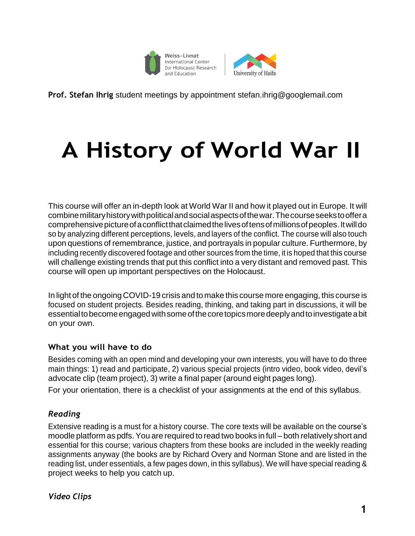



**Prof. Stefan Ihrig** student meetings by appointment [stefan.ihrig@googlemail.com](mailto:stefan.ihrig@googlemail.com)

# **A History of World War II**

This course will offer an in-depth look at World War II and how it played out in Europe. It will combinemilitaryhistorywithpoliticalandsocialaspectsofthewar.Thecourseseekstooffera comprehensivepictureofaconflictthatclaimedthelivesoftensofmillionsofpeoples.Itwilldo so by analyzing different perceptions, levels, and layers of the conflict. The course will also touch upon questions of remembrance, justice, and portrayals in popular culture. Furthermore, by including recently discovered footage and other sources from the time, it is hoped that this course will challenge existing trends that put this conflict into a very distant and removed past. This course will open up important perspectives on the Holocaust.

In light of the ongoing COVID-19 crisis and to make this course more engaging, this course is focused on student projects. Besides reading, thinking, and taking part in discussions, it will be essentialtobecomeengagedwithsomeofthecoretopicsmoredeeplyandtoinvestigateabit on your own.

# **What you will have to do**

Besides coming with an open mind and developing your own interests, you will have to do three main things: 1) read and participate, 2) various special projects (intro video, book video, devil's advocate clip (team project), 3) write a final paper (around eight pages long).

For your orientation, there is a checklist of your assignments at the end of this syllabus.

# *Reading*

Extensive reading is a must for a history course. The core texts will be available on the course's moodle platform as pdfs.You are required to read two books in full – both relatively short and essential for this course; various chapters from these books are included in the weekly reading assignments anyway (the books are by Richard Overy and Norman Stone and are listed in the reading list, under essentials, a few pages down, in this syllabus). We will have special reading & project weeks to help you catch up.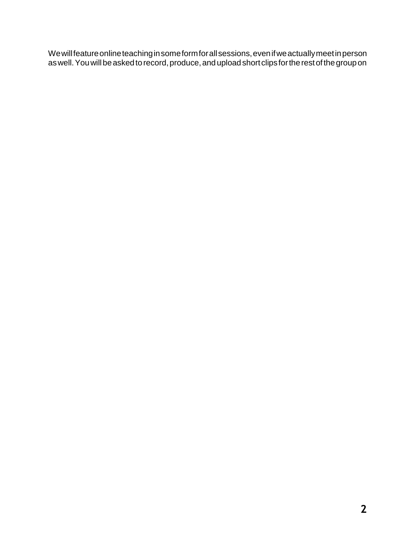Wewillfeatureonlineteachinginsomeformforallsessions,evenifweactuallymeetinperson as well. You will be asked to record, produce, and upload short clips for the rest of the group on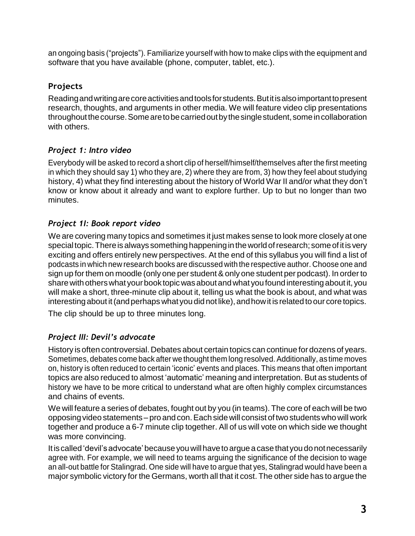an ongoing basis ("projects"). Familiarize yourself with how to make clips with the equipment and software that you have available (phone, computer, tablet, etc.).

# **Projects**

Readingandwritingarecoreactivitiesandtoolsforstudents.Butitisalsoimportanttopresent research, thoughts, and arguments in other media. We will feature video clip presentations throughout the course. Some are to be carried out by the single student, some in collaboration with others.

# *Project 1: Intro video*

Everybody will be asked to record a short clip of herself/himself/themselves after the first meeting in which they should say 1) who they are, 2) where they are from, 3) how they feel about studying history, 4) what they find interesting about the history of World War II and/or what they don't know or know about it already and want to explore further. Up to but no longer than two minutes.

# *Project 1I: Book report video*

We are covering many topics and sometimes it just makes sense to look more closely at one special topic. There is always something happening in the world of research; some of it is very exciting and offers entirely new perspectives. At the end of this syllabus you will find a list of podcasts in which new research books are discussed with the respective author. Choose one and sign up for them on moodle (only one per student & only one student per podcast). In order to share with others what your book topic was about and what you found interesting about it, you will make a short, three-minute clip about it, telling us what the book is about, and what was interesting about it (and perhaps what you did not like), and how it is related to our core topics. The clip should be up to three minutes long.

# *Project III: Devil's advocate*

History is often controversial. Debates about certain topics can continue for dozens of years. Sometimes, debates come back after we thought them long resolved. Additionally, as time moves on, history is often reduced to certain 'iconic' events and places. This means that often important topics are also reduced to almost 'automatic' meaning and interpretation. But as students of history we have to be more critical to understand what are often highly complex circumstances and chains of events.

We will feature a series of debates, fought out by you (in teams). The core of each will be two opposingvideo statements– pro andcon.Each sidewill consist of two studentswho will work together and produce a 6-7 minute clip together. All of us will vote on which side we thought was more convincing.

It is called 'devil's advocate' because you will have to argue a case that you do not necessarily agree with. For example, we will need to teams arguing the significance of the decision to wage an all-out battle for Stalingrad. One side will have to argue that yes, Stalingrad would have been a major symbolic victory for the Germans, worth all that it cost. The other side has to argue the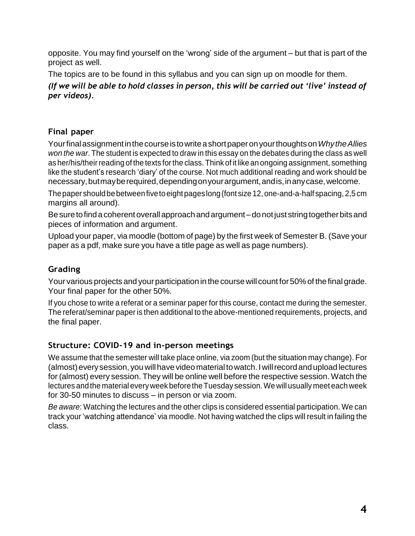opposite. You may find yourself on the 'wrong' side of the argument – but that is part of the project as well.

The topics are to be found in this syllabus and you can sign up on moodle for them.

*(If we will be able to hold classes in person, this will be carried out 'live' instead of per videos).*

# **Final paper**

Yourfinalassignmentinthecourseistowriteashortpaperonyourthoughtson*WhytheAllies won the war*. The student is expected to draw in this essay on the debates during the class as well as her/his/their reading of the texts for the class. Think of it like an ongoing assignment, something like the student's research 'diary' of the course. Not much additional reading and work should be necessary, butmay be required, depending on your argument, and is, in any case, welcome.

The paper should be between five to eight pages long (font size 12, one-and-a-half spacing, 2,5 cm margins all around).

Be sure to find a coherent overall approach and argument – do not just string together bits and pieces of information and argument.

Upload your paper, via moodle (bottom of page) by the first week of Semester B. (Save your paper as a pdf, make sure you have a title page as well as page numbers).

# **Grading**

Your various projects and your participation in the course will count for 50% of the final grade. Your final paper for the other 50%.

If you chose to write a referat or a seminar paper for this course, contact me during the semester. The referat/seminar paper is then additional to the above-mentioned requirements, projects, and the final paper.

# **Structure: COVID-19 and in-person meetings**

We assume that the semester will take place online, via zoom (but the situation may change). For (almost) every session, you will have video material to watch. I will record and upload lectures for (almost) every session. They will be online well before the respective session. Watch the lectures and the material every week before the Tuesday session. We will usually meet each week for 30-50 minutes to discuss – in person or via zoom.

*Be aware*: Watching the lectures and the other clips is considered essential participation. We can track your 'watching attendance' via moodle. Not having watched the clips will result in failing the class.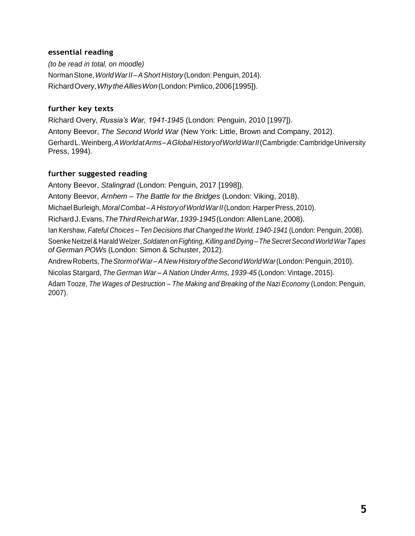#### **essential reading**

*(to be read in total, on moodle)* NormanStone,*WorldWarII–AShortHistory* (London:Penguin,2014). RichardOvery,*WhytheAlliesWon*(London:Pimlico,2006[1995]).

#### **further key texts**

Richard Overy, *Russia's War, 1941-1945* (London: Penguin, 2010 [1997]). Antony Beevor, *The Second World War* (New York: Little, Brown and Company, 2012). GerhardL.Weinberg,*AWorldatArms–AGlobalHistoryofWorldWarII*(Cambrigde:CambridgeUniversity Press, 1994).

#### **further suggested reading**

Antony Beevor, *Stalingrad* (London: Penguin, 2017 [1998]). Antony Beevor, *Arnhem – The Battle for the Bridges* (London: Viking, 2018). Michael Burleigh, *Moral Combat-A History of World War II* (London: Harper Press, 2010). RichardJ.Evans,*TheThirdReichatWar,1939-1945*(London:AllenLane,2008). Ian Kershaw, *Fateful Choices – Ten Decisions that Changed the World, 1940-1941* (London: Penguin, 2008). SoenkeNeitzel& HaraldWelzer,*Soldaten onFighting,Killing and Dying –TheSecret SecondWorldWarTapes of German POWs* (London: Simon & Schuster, 2012). AndrewRoberts,*TheStormofWar–ANewHistoryoftheSecondWorldWar*(London:Penguin,2010). Nicolas Stargard, *The German War – A Nation Under Arms, 1939-45* (London: Vintage, 2015). Adam Tooze, *The Wages of Destruction – The Making and Breaking of the Nazi Economy* (London: Penguin, 2007).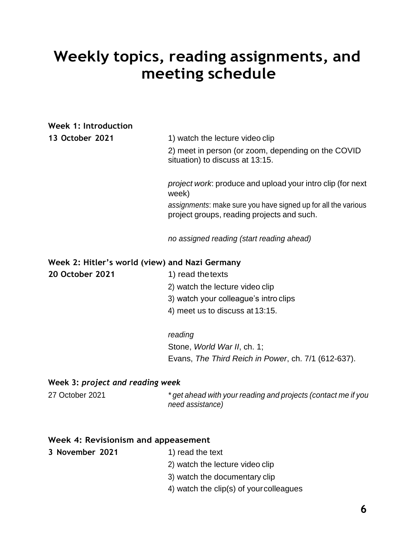# **Weekly topics, reading assignments, and meeting schedule**

### **Week 1: Introduction**

| 13 October 2021                                | 1) watch the lecture video clip<br>2) meet in person (or zoom, depending on the COVID<br>situation) to discuss at 13:15. |
|------------------------------------------------|--------------------------------------------------------------------------------------------------------------------------|
|                                                | <i>project work</i> : produce and upload your intro clip (for next<br>week)                                              |
|                                                | assignments: make sure you have signed up for all the various<br>project groups, reading projects and such.              |
|                                                | no assigned reading (start reading ahead)                                                                                |
| Week 2: Hitler's world (view) and Nazi Germany |                                                                                                                          |
| <b>20 October 2021</b>                         | 1) read the texts                                                                                                        |
|                                                | 2) watch the lecture video clip                                                                                          |
|                                                | 3) watch your colleague's intro clips                                                                                    |
|                                                | 4) meet us to discuss at 13:15.                                                                                          |
|                                                | reading                                                                                                                  |
|                                                | Stone, World War II, ch. 1;                                                                                              |
|                                                | Evans, The Third Reich in Power, ch. 7/1 (612-637).                                                                      |

# **Week 3:** *project and reading week*

27 October 2021 *\* get ahead with your reading and projects (contact me if you need assistance)*

#### **Week 4: Revisionism and appeasement**

#### **3 November 2021** 1) read the text

- 
- 2) watch the lecture video clip
- 3) watch the documentary clip
- 4) watch the clip(s) of yourcolleagues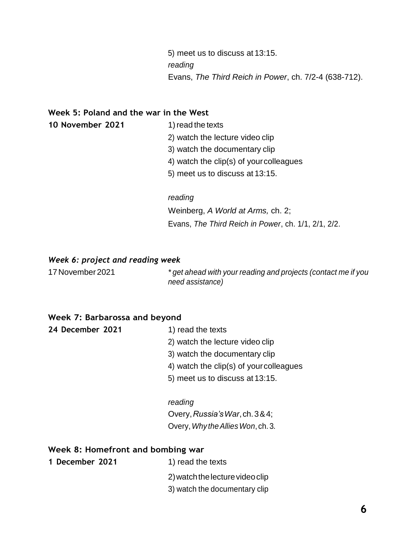5) meet us to discuss at 13:15. *reading* Evans, *The Third Reich in Power*, ch. 7/2-4 (638-712).

#### **Week 5: Poland and the war in the West**

- **10 November 2021** 1)read the texts
	-
	- 2) watch the lecture video clip
	- 3) watch the documentary clip
	- 4) watch the clip(s) of yourcolleagues
	- 5) meet us to discuss at 13:15.

#### *reading*

Weinberg, *A World at Arms,* ch. 2; Evans, *The Third Reich in Power*, ch. 1/1, 2/1, 2/2.

#### *Week 6: project and reading week*

17November 2021 *\* get ahead with your reading and projects (contact me if you need assistance)*

#### **Week 7: Barbarossa and beyond**

**24 December 2021** 1) read the texts

- 2) watch the lecture video clip
- 3) watch the documentary clip
- 4) watch the clip(s) of yourcolleagues
- 5) meet us to discuss at 13:15.

#### *reading*

Overy,*Russia'sWar*,ch.3&4; Overy,*Why theAlliesWon*, ch. 3.

#### **Week 8: Homefront and bombing war**

- **1 December 2021** 1) read the texts
	- 2)watchthelecturevideoclip
	- 3) watch the documentary clip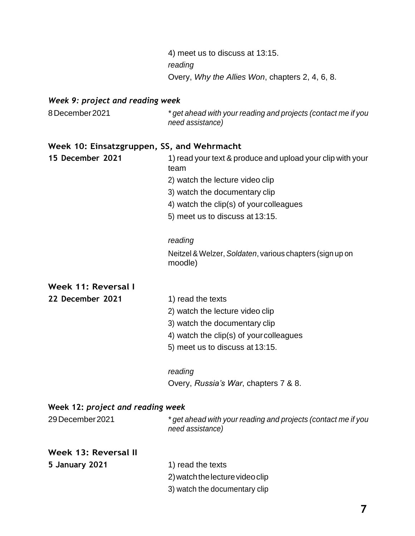4) meet us to discuss at 13:15. *reading* Overy, *Why the Allies Won*, chapters 2, 4, 6, 8.

#### *Week 9: project and reading week*

8December2021 *\* get ahead with your reading and projects (contact me if you need assistance)*

#### **Week 10: Einsatzgruppen, SS, and Wehrmacht**

**15 December 2021** 1) read your text & produce and upload your clip with your team 2) watch the lecture video clip 3) watch the documentary clip 4) watch the clip(s) of yourcolleagues 5) meet us to discuss at 13:15.

#### *reading*

Neitzel & Welzer, *Soldaten*, various chapters (sign up on moodle)

#### **Week 11: Reversal I**

**22 December 2021** 1) read the texts

- 
- 2) watch the lecture video clip
- 3) watch the documentary clip
- 4) watch the clip(s) of yourcolleagues
- 5) meet us to discuss at 13:15.

#### *reading*

Overy, *Russia's War*, chapters 7 & 8.

#### **Week 12:** *project and reading week*

| 29 December 2021 | * get ahead with your reading and projects (contact me if you<br>need assistance) |
|------------------|-----------------------------------------------------------------------------------|
|                  |                                                                                   |

### **Week 13: Reversal II**

- **5 January 2021** 1) read the texts
	-
	- 2)watchthelecturevideoclip
	- 3) watch the documentary clip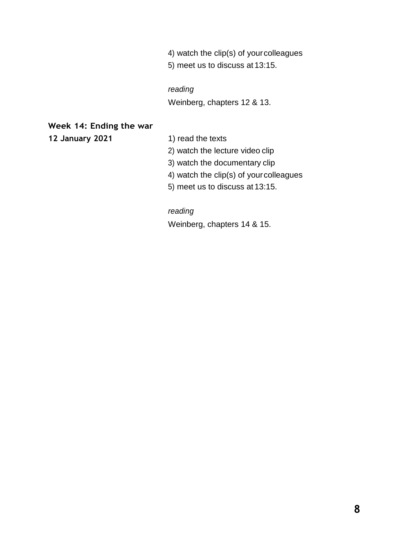- 4) watch the clip(s) of yourcolleagues
- 5) meet us to discuss at 13:15.

#### *reading*

Weinberg, chapters 12 & 13.

#### **Week 14: Ending the war**

**12 January 2021** 1) read the texts

- 
- 2) watch the lecture video clip
- 3) watch the documentary clip
- 4) watch the clip(s) of yourcolleagues
- 5) meet us to discuss at 13:15.

### *reading*

Weinberg, chapters 14 & 15.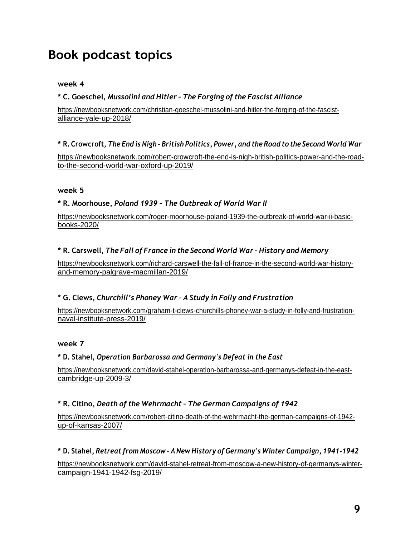# **Book podcast topics**

#### **week 4**

#### **\* C. Goeschel,** *Mussolini and Hitler – The Forging of the Fascist Alliance*

https://newbooksnetwork.com/christian-goeschel-mussolini-and-hitler-the-forging-of-the-fascistalliance-yale-up-2018/

#### \* R. Crowcroft, The End is Nigh-British Politics, Power, and the Road to the Second World War

https://newbooksnetwork.com/robert-crowcroft-the-end-is-nigh-british-politics-power-and-the-roadto-the-second-world-war-oxford-up-2019/

#### **week 5**

#### **\* R. Moorhouse,** *Poland 1939 – The Outbreak of World War II*

https://newbooksnetwork.com/roger-moorhouse-poland-1939-the-outbreak-of-world-war-ii-basicbooks-2020/

#### **\* R. Carswell,** *The Fall of France in the Second World War – History and Memory*

https://newbooksnetwork.com/richard-carswell-the-fall-of-france-in-the-second-world-war-historyand-memory-palgrave-macmillan-2019/

#### **\* G. Clews,** *Churchill's Phoney War – A Study in Folly and Frustration*

https://newbooksnetwork.com/graham-t-clews-churchills-phoney-war-a-study-in-folly-and-frustrationnaval-institute-press-2019/

#### **week 7**

#### **\* D. Stahel,** *Operation Barbarossa and Germany's Defeat in the East*

https://newbooksnetwork.com/david-stahel-operation-barbarossa-and-germanys-defeat-in-the-eastcambridge-up-2009-3/

#### **\* R. Citino,** *Death of the Wehrmacht – The German Campaigns of 1942*

https://newbooksnetwork.com/robert-citino-death-of-the-wehrmacht-the-german-campaigns-of-1942 up-of-kansas-2007/

#### **\* D. Stahel,** *Retreat from Moscow – A New History of Germany's Winter Campaign, 1941-1942*

https://newbooksnetwork.com/david-stahel-retreat-from-moscow-a-new-history-of-germanys-wintercampaign-1941-1942-fsg-2019/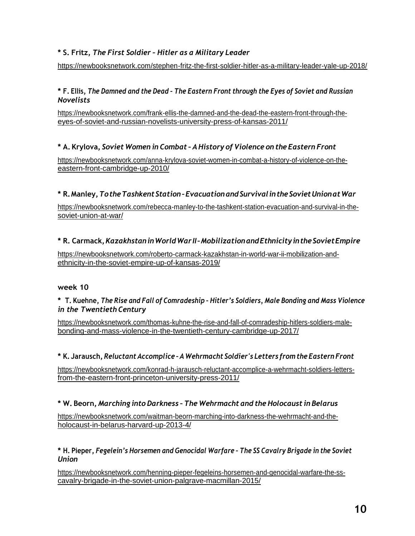#### **\* S. Fritz,** *The First Soldier – Hitler as a Military Leader*

https://newbooksnetwork.com/stephen-fritz-the-first-soldier-hitler-as-a-military-leader-yale-up-2018/

#### \* F. Ellis, The Damned and the Dead - The Eastern Front through the Eyes of Soviet and Russian *Novelists*

https://newbooksnetwork.com/frank-ellis-the-damned-and-the-dead-the-eastern-front-through-theeyes-of-soviet-and-russian-novelists-university-press-of-kansas-2011/

#### **\* A. Krylova,** *Soviet Women in Combat – AHistory of Violence on the Eastern Front*

https://newbooksnetwork.com/anna-krylova-soviet-women-in-combat-a-history-of-violence-on-theeastern-front-cambridge-up-2010/

#### **\* R.Manley,***TotheTashkentStation–EvacuationandSurvivalintheSovietUnionatWar*

https://newbooksnetwork.com/rebecca-manley-to-the-tashkent-station-evacuation-and-survival-in-thesoviet-union-at-war/

#### **\* R. Carmack,***KazakhstaninWorldWarII–MobilizationandEthnicityintheSovietEmpire*

https://newbooksnetwork.com/roberto-carmack-kazakhstan-in-world-war-ii-mobilization-andethnicity-in-the-soviet-empire-up-of-kansas-2019/

#### **week 10**

#### **\* T. Kuehne,** *The Rise and Fall of Comradeship – Hitler's Soldiers, Male Bonding and Mass Violence in the Twentieth Century*

https://newbooksnetwork.com/thomas-kuhne-the-rise-and-fall-of-comradeship-hitlers-soldiers-malebonding-and-mass-violence-in-the-twentieth-century-cambridge-up-2017/

#### **\* K. Jarausch,** *Reluctant Accomplice – A Wehrmacht Soldier's Letters from the Eastern Front*

https://newbooksnetwork.com/konrad-h-jarausch-reluctant-accomplice-a-wehrmacht-soldiers-lettersfrom-the-eastern-front-princeton-university-press-2011/

#### **\* W. Beorn,** *Marching into Darkness –The Wehrmacht and the Holocaust in Belarus*

https://newbooksnetwork.com/waitman-beorn-marching-into-darkness-the-wehrmacht-and-theholocaust-in-belarus-harvard-up-2013-4/

#### **\* H. Pieper,** *Fegelein's Horsemen and Genocidal Warfare – The SS Cavalry Brigade in the Soviet Union*

https://newbooksnetwork.com/henning-pieper-fegeleins-horsemen-and-genocidal-warfare-the-sscavalry-brigade-in-the-soviet-union-palgrave-macmillan-2015/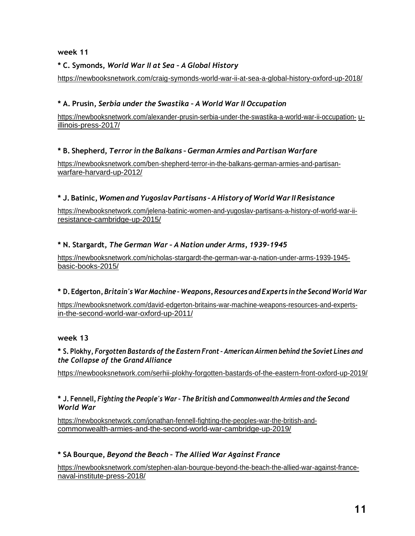#### **week 11**

#### **\* C. Symonds,** *World War II at Sea – A Global History*

https://newbooksnetwork.com/craig-symonds-world-war-ii-at-sea-a-global-history-oxford-up-2018/

#### **\* A. Prusin,** *Serbia under the Swastika – A World War II Occupation*

https://newbooksnetwork.com/alexander-prusin-serbia-under-the-swastika-a-world-war-ii-occupation- uillinois-press-2017/

#### **\* B. Shepherd,** *Terror in the Balkans – German Armies and Partisan Warfare*

https://newbooksnetwork.com/ben-shepherd-terror-in-the-balkans-german-armies-and-partisanwarfare-harvard-up-2012/

#### **\* J. Batinic,** *Women and Yugoslav Partisans – AHistory of World War II Resistance*

https://newbooksnetwork.com/jelena-batinic-women-and-yugoslav-partisans-a-history-of-world-war-iiresistance-cambridge-up-2015/

#### **\* N. Stargardt,** *The German War – A Nation under Arms, 1939-1945*

https://newbooksnetwork.com/nicholas-stargardt-the-german-war-a-nation-under-arms-1939-1945 basic-books-2015/

#### **\* D.Edgerton,** *Britain's WarMachine –Weapons,ResourcesandExperts inthe SecondWorld War*

https://newbooksnetwork.com/david-edgerton-britains-war-machine-weapons-resources-and-expertsin-the-second-world-war-oxford-up-2011/

#### **week 13**

#### **\* S. Plokhy,** *Forgotten Bastards of the Eastern Front – American Airmen behind the Soviet Lines and the Collapse of the Grand Alliance*

https://newbooksnetwork.com/serhii-plokhy-forgotten-bastards-of-the-eastern-front-oxford-up-2019/

#### **\* J. Fennell,** *Fighting the People's War – The British and Commonwealth Armies and the Second World War*

https://newbooksnetwork.com/jonathan-fennell-fighting-the-peoples-war-the-british-andcommonwealth-armies-and-the-second-world-war-cambridge-up-2019/

#### **\* SA Bourque,** *Beyond the Beach – The Allied War Against France*

https://newbooksnetwork.com/stephen-alan-bourque-beyond-the-beach-the-allied-war-against-francenaval-institute-press-2018/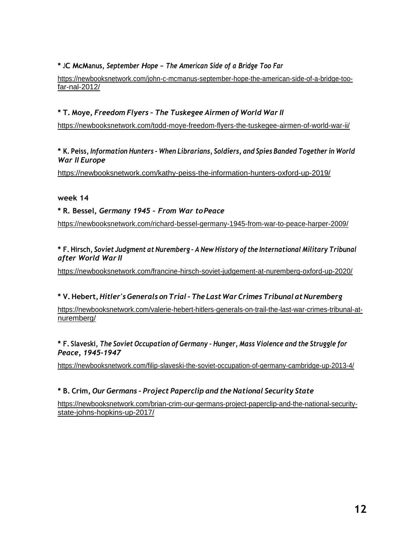#### **\* JC McManus,** *September Hope – The American Side of <sup>a</sup> Bridge Too Far*

https://newbooksnetwork.com/john-c-mcmanus-september-hope-the-american-side-of-a-bridge-toofar-nal-2012/

#### **\* T. Moye,** *Freedom Flyers – The Tuskegee Airmen of World War II*

https://newbooksnetwork.com/todd-moye-freedom-flyers-the-tuskegee-airmen-of-world-war-ii/

**\* K. Peiss,** *Information Hunters – When Librarians, Soldiers, and Spies Banded Together in World War II Europe*

https://newbooksnetwork.com/kathy-peiss-the-information-hunters-oxford-up-2019/

#### **week 14**

**\* R. Bessel,** *Germany 1945 – From War toPeace*

https://newbooksnetwork.com/richard-bessel-germany-1945-from-war-to-peace-harper-2009/

#### **\* F. Hirsch,** *Soviet Judgment at Nuremberg – A New History of the International Military Tribunal after World War II*

https://newbooksnetwork.com/francine-hirsch-soviet-judgement-at-nuremberg-oxford-up-2020/

#### **\* V.Hebert,***Hitler'sGenerals onTrial–The LastWar CrimesTribunal atNuremberg*

https://newbooksnetwork.com/valerie-hebert-hitlers-generals-on-trail-the-last-war-crimes-tribunal-atnuremberg/

**\* F. Slaveski,** *The Soviet Occupation of Germany – Hunger, Mass Violence and the Struggle for Peace, 1945-1947*

https://newbooksnetwork.com/filip-slaveski-the-soviet-occupation-of-germany-cambridge-up-2013-4/

#### **\* B. Crim,** *Our Germans – Project Paperclip and the National Security State*

https://newbooksnetwork.com/brian-crim-our-germans-project-paperclip-and-the-national-securitystate-johns-hopkins-up-2017/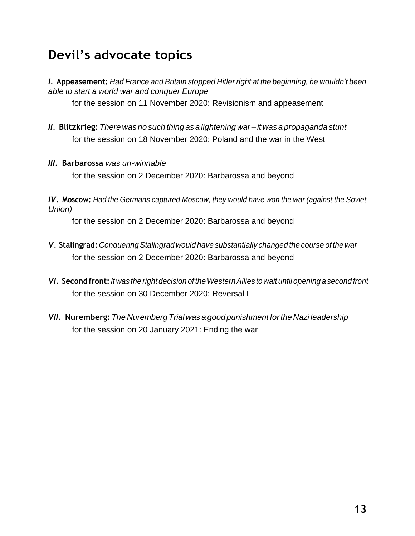# **Devil's advocate topics**

*I.* **Appeasement:** *Had France and Britain stopped Hitler right at the beginning, he wouldn't been able to start a world war and conquer Europe*

for the session on 11 November 2020: Revisionism and appeasement

- *II.* **Blitzkrieg:** *There was no such thing as a lightening war – it was a propaganda stunt* for the session on 18 November 2020: Poland and the war in the West
- *III.* **Barbarossa** *was un-winnable*

for the session on 2 December 2020: Barbarossa and beyond

*IV.* **Moscow:** *Had the Germans captured Moscow, they would have won the war (against the Soviet Union)*

for the session on 2 December 2020: Barbarossa and beyond

- *V.* **Stalingrad:** *ConqueringStalingrad would have substantially changed the course of the war* for the session on 2 December 2020: Barbarossa and beyond
- *VI.* **Second front:***Itwas the right decision of theWesternAllies towait until opening a second front* for the session on 30 December 2020: Reversal I
- *VII.* **Nuremberg:** *The Nuremberg Trial was a goodpunishment forthe Nazi leadership* for the session on 20 January 2021: Ending the war